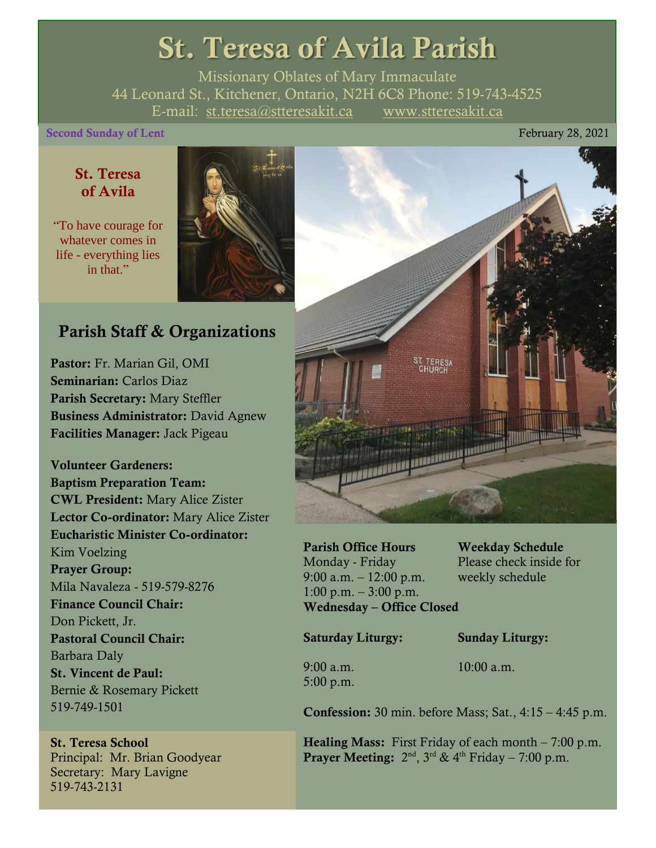# St. Teresa of Avila Parish

Missionary Oblates of Mary Immaculate 44 Leonard St., Kitchener, Ontario, N2H 6C8 Phone: 519-743-4525 E-mail: [st.teresa@stteresakit.ca](mailto:st.teresa@stteresakit.ca) [www.stteresakit.ca](http://www.stteresakit.ca/)

#### Second Sunday of Lent February 28, 2021

#### St. Teresa of Avila

"To have courage for whatever comes in life - everything lies in that"



#### Parish Staff & Organizations

Pastor: Fr. Marian Gil, OMI Seminarian: Carlos Diaz Parish Secretary: Mary Steffler Business Administrator: David Agnew Facilities Manager: Jack Pigeau

Volunteer Gardeners: Baptism Preparation Team: CWL President: Mary Alice Zister Lector Co-ordinator: Mary Alice Zister Eucharistic Minister Co-ordinator: Kim Voelzing Prayer Group: Mila Navaleza - 519-579-8276 Finance Council Chair: Don Pickett, Jr. Pastoral Council Chair: Barbara Daly St. Vincent de Paul: Bernie & Rosemary Pickett 519-749-1501

St. Teresa School Principal: Mr. Brian Goodyear Secretary: Mary Lavigne 519-743-2131



Parish Office Hours Weekday Schedule Monday - Friday Please check inside for 9:00 a.m. – 12:00 p.m. weekly schedule  $1:00 \text{ p.m.} - 3:00 \text{ p.m.}$ Wednesday – Office Closed

Saturday Liturgy: Sunday Liturgy:

5:00 p.m.

9:00 a.m. 10:00 a.m.

Confession: 30 min. before Mass; Sat., 4:15 – 4:45 p.m.

**Healing Mass:** First Friday of each month  $-7:00$  p.m. **Prayer Meeting:**  $2^{nd}$ ,  $3^{rd}$  &  $4^{th}$  Friday – 7:00 p.m.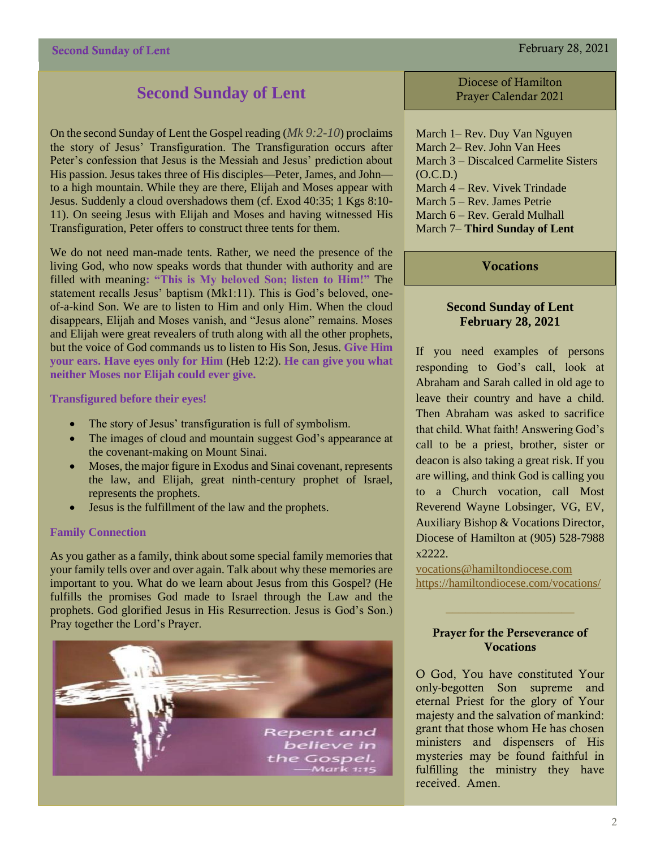#### Second Sunday of Lent February 28, 2021

#### **Second Sunday of Lent**

On the second Sunday of Lent the Gospel reading (*Mk 9:2-10*) proclaims the story of Jesus' Transfiguration. The Transfiguration occurs after Peter's confession that Jesus is the Messiah and Jesus' prediction about His passion. Jesus takes three of His disciples—Peter, James, and John to a high mountain. While they are there, Elijah and Moses appear with Jesus. Suddenly a cloud overshadows them (cf. Exod 40:35; 1 Kgs 8:10- 11). On seeing Jesus with Elijah and Moses and having witnessed His Transfiguration, Peter offers to construct three tents for them.

We do not need man-made tents. Rather, we need the presence of the living God, who now speaks words that thunder with authority and are filled with meaning**: "This is My beloved Son; listen to Him!"** The statement recalls Jesus' baptism (Mk1:11). This is God's beloved, oneof-a-kind Son. We are to listen to Him and only Him. When the cloud disappears, Elijah and Moses vanish, and "Jesus alone" remains. Moses and Elijah were great revealers of truth along with all the other prophets, but the voice of God commands us to listen to His Son, Jesus. **Give Him your ears. Have eyes only for Him** (Heb 12:2). **He can give you what neither Moses nor Elijah could ever give.** 

#### **Transfigured before their eyes!**

- The story of Jesus' transfiguration is full of symbolism.
- The images of cloud and mountain suggest God's appearance at the covenant-making on Mount Sinai.
- Moses, the major figure in Exodus and Sinai covenant, represents the law, and Elijah, great ninth-century prophet of Israel, represents the prophets.
- Jesus is the fulfillment of the law and the prophets.

#### **Family Connection**

As you gather as a family, think about some special family memories that your family tells over and over again. Talk about why these memories are important to you. What do we learn about Jesus from this Gospel? (He fulfills the promises God made to Israel through the Law and the prophets. God glorified Jesus in His Resurrection. Jesus is God's Son.) Pray together the Lord's Prayer.



Diocese of Hamilton Prayer Calendar 2021

March 1– Rev. Duy Van Nguyen March 2– Rev. John Van Hees March 3 – Discalced Carmelite Sisters  $(O.C.D.)$ March 4 – Rev. Vivek Trindade March 5 – Rev. James Petrie March 6 – Rev. Gerald Mulhall March 7– **Third Sunday of Lent**

#### **Vocations**

#### **Second Sunday of Lent February 28, 2021**

If you need examples of persons responding to God's call, look at Abraham and Sarah called in old age to leave their country and have a child. Then Abraham was asked to sacrifice that child. What faith! Answering God's call to be a priest, brother, sister or deacon is also taking a great risk. If you are willing, and think God is calling you to a Church vocation, call Most Reverend Wayne Lobsinger, VG, EV, Auxiliary Bishop & Vocations Director, Diocese of Hamilton at (905) 528-7988  $x2222.$ 

[vocations@hamiltondiocese.com](mailto:vocations@hamiltondiocese.com)  <https://hamiltondiocese.com/vocations/>

#### Prayer for the Perseverance of **Vocations**

O God, You have constituted Your only-begotten Son supreme and eternal Priest for the glory of Your majesty and the salvation of mankind: grant that those whom He has chosen ministers and dispensers of His mysteries may be found faithful in fulfilling the ministry they have received. Amen.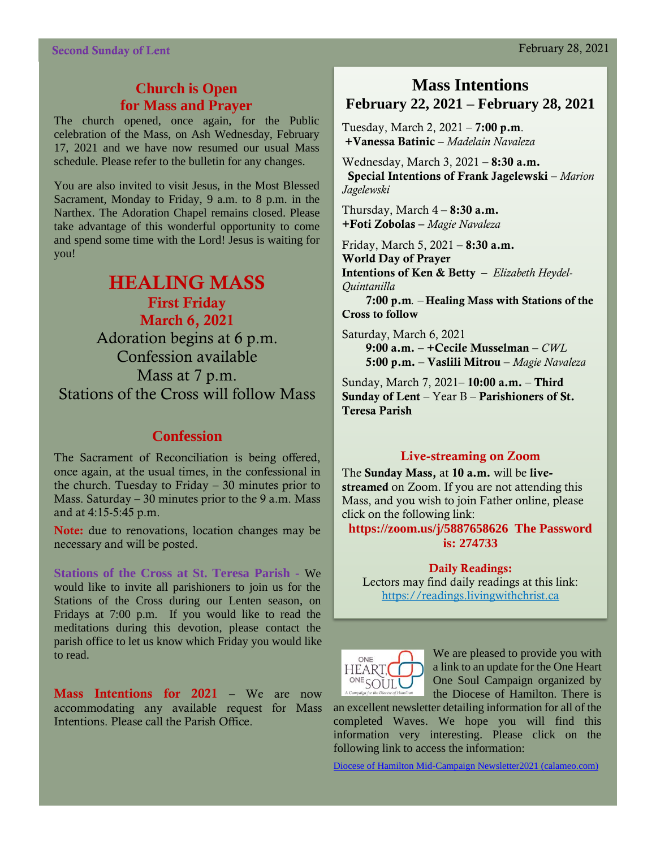#### **Church is Open for Mass and Prayer**

The church opened, once again, for the Public celebration of the Mass, on Ash Wednesday, February 17, 2021 and we have now resumed our usual Mass schedule. Please refer to the bulletin for any changes.

You are also invited to visit Jesus, in the Most Blessed Sacrament, Monday to Friday, 9 a.m. to 8 p.m. in the Narthex. The Adoration Chapel remains closed. Please take advantage of this wonderful opportunity to come and spend some time with the Lord! Jesus is waiting for you!

#### HEALING MASS First Friday

March 6, 2021 Adoration begins at 6 p.m. Confession available Mass at 7 p.m.

Stations of the Cross will follow Mass

#### **Confession**

The Sacrament of Reconciliation is being offered, once again, at the usual times, in the confessional in the church. Tuesday to Friday  $-30$  minutes prior to Mass. Saturday  $-30$  minutes prior to the 9 a.m. Mass and at 4:15-5:45 p.m.

Note: due to renovations, location changes may be necessary and will be posted.

**Stations of the Cross at St. Teresa Parish -** We would like to invite all parishioners to join us for the Stations of the Cross during our Lenten season, on Fridays at 7:00 p.m. If you would like to read the meditations during this devotion, please contact the parish office to let us know which Friday you would like to read.

Mass Intentions for 2021 – We are now accommodating any available request for Mass Intentions. Please call the Parish Office.

#### **Mass Intentions February 22, 2021 – February 28, 2021**

Tuesday, March 2, 2021 – 7:00 p.m. +Vanessa Batinic – *Madelain Navaleza*

Wednesday, March 3, 2021 – 8:30 a.m. Special Intentions of Frank Jagelewski – *Marion Jagelewski*

Thursday, March  $4 - 8:30$  a.m. +Foti Zobolas – *Magie Navaleza*

Friday, March 5, 2021 – 8:30 a.m. World Day of Prayer Intentions of Ken & Betty– *Elizabeth Heydel-Quintanilla* 7:00 p.m*. –* Healing Mass with Stations of the Cross to follow

Saturday, March 6, 2021 9:00 a.m. – +Cecile Musselman – *CWL* 5:00 p.m. – Vaslili Mitrou – *Magie Navaleza*

Sunday, March 7, 2021– 10:00 a.m. – Third Sunday of Lent – Year B – Parishioners of St. Teresa Parish

#### Live-streaming on Zoom

The Sunday Mass, at 10 a.m. will be livestreamed on Zoom. If you are not attending this Mass, and you wish to join Father online, please click on the following link:

**<https://zoom.us/j/5887658626> The Password is: 274733**

#### Daily Readings:

Lectors may find daily readings at this link: [https://readings.livingwithchrist.ca](https://readings.livingwithchrist.ca/)



We are pleased to provide you with a link to an update for the One Heart One Soul Campaign organized by the Diocese of Hamilton. There is

an excellent newsletter detailing information for all of the completed Waves. We hope you will find this information very interesting. Please click on the following link to access the information:

[Diocese of Hamilton Mid-Campaign Newsletter2021 \(calameo.com\)](https://en.calameo.com/read/003509110f0b1322272eb)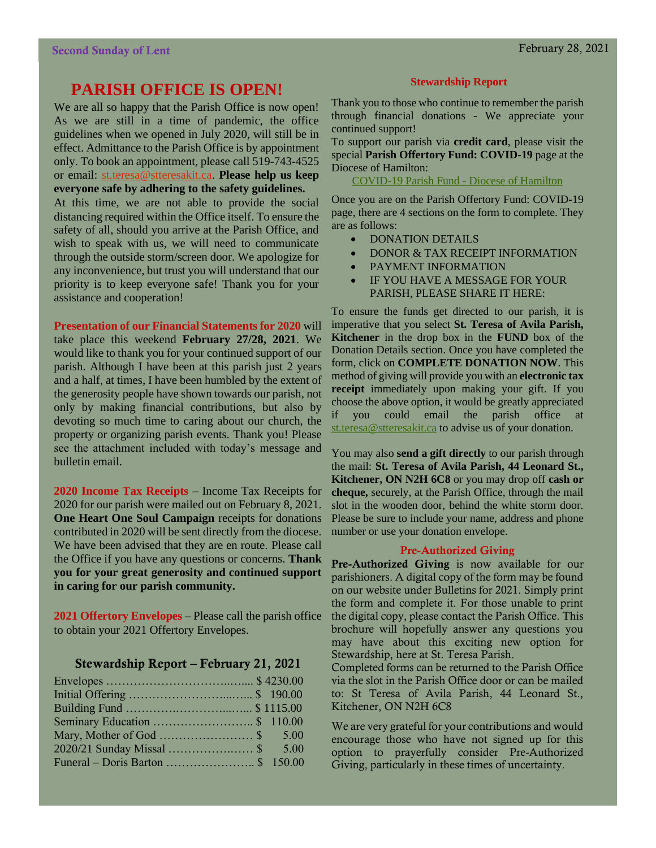assistance and cooperation!

### **PARISH OFFICE IS OPEN!**

We are all so happy that the Parish Office is now open! As we are still in a time of pandemic, the office guidelines when we opened in July 2020, will still be in effect. Admittance to the Parish Office is by appointment only. To book an appointment, please call 519-743-4525 or email: [st.teresa@stteresakit.ca.](mailto:st.teresa@stteresakit.ca) **Please help us keep everyone safe by adhering to the safety guidelines.** At this time, we are not able to provide the social distancing required within the Office itself. To ensure the safety of all, should you arrive at the Parish Office, and wish to speak with us, we will need to communicate through the outside storm/screen door. We apologize for any inconvenience, but trust you will understand that our priority is to keep everyone safe! Thank you for your

**Presentation of our Financial Statements for 2020** will take place this weekend **February 27/28, 2021**. We would like to thank you for your continued support of our parish. Although I have been at this parish just 2 years and a half, at times, I have been humbled by the extent of the generosity people have shown towards our parish, not only by making financial contributions, but also by devoting so much time to caring about our church, the property or organizing parish events. Thank you! Please see the attachment included with today's message and bulletin email.

**2020 Income Tax Receipts** – Income Tax Receipts for 2020 for our parish were mailed out on February 8, 2021. **One Heart One Soul Campaign** receipts for donations contributed in 2020 will be sent directly from the diocese. We have been advised that they are en route. Please call the Office if you have any questions or concerns. **Thank you for your great generosity and continued support in caring for our parish community.**

**2021 Offertory Envelopes** – Please call the parish office to obtain your 2021 Offertory Envelopes.

#### Stewardship Report – February 21, 2021

| 2020/21 Sunday Missal \$ 5.00 |  |
|-------------------------------|--|
|                               |  |

#### **Stewardship Report**

Thank you to those who continue to remember the parish through financial donations - We appreciate your continued support!

To support our parish via **credit card**, please visit the special **Parish Offertory Fund: COVID-19** page at the Diocese of Hamilton:

[COVID-19 Parish Fund -](https://hamiltondiocese.com/covid19parishfund/) Diocese of Hamilton

Once you are on the Parish Offertory Fund: COVID-19 page, there are 4 sections on the form to complete. They are as follows:

- DONATION DETAILS
- DONOR & TAX RECEIPT INFORMATION
- PAYMENT INFORMATION
- IF YOU HAVE A MESSAGE FOR YOUR PARISH, PLEASE SHARE IT HERE:

To ensure the funds get directed to our parish, it is imperative that you select **St. Teresa of Avila Parish, Kitchener** in the drop box in the **FUND** box of the Donation Details section. Once you have completed the form, click on **COMPLETE DONATION NOW**. This method of giving will provide you with an **electronic tax receipt** immediately upon making your gift. If you choose the above option, it would be greatly appreciated if you could email the parish office at [st.teresa@stteresakit.ca](mailto:st.teresa@stteresakit.ca) to advise us of your donation.

You may also **send a gift directly** to our parish through the mail: **St. Teresa of Avila Parish, 44 Leonard St., Kitchener, ON N2H 6C8** or you may drop off **cash or cheque,** securely, at the Parish Office, through the mail slot in the wooden door, behind the white storm door. Please be sure to include your name, address and phone number or use your donation envelope.

#### Pre-Authorized Giving

Pre-Authorized Giving is now available for our parishioners. A digital copy of the form may be found on our website under Bulletins for 2021. Simply print the form and complete it. For those unable to print the digital copy, please contact the Parish Office. This brochure will hopefully answer any questions you may have about this exciting new option for Stewardship, here at St. Teresa Parish.

Completed forms can be returned to the Parish Office via the slot in the Parish Office door or can be mailed to: St Teresa of Avila Parish, 44 Leonard St., Kitchener, ON N2H 6C8

We are very grateful for your contributions and would encourage those who have not signed up for this option to prayerfully consider Pre-Authorized Giving, particularly in these times of uncertainty.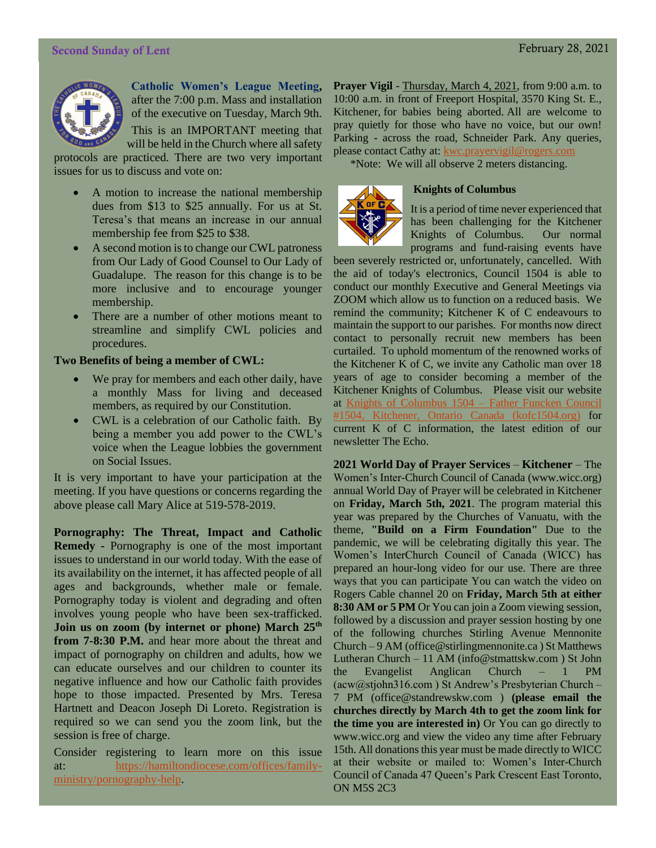#### Second Sunday of Lent February 28, 2021



**Catholic Women's League Meeting,** after the 7:00 p.m. Mass and installation of the executive on Tuesday, March 9th.

This is an IMPORTANT meeting that will be held in the Church where all safety

protocols are practiced. There are two very important issues for us to discuss and vote on:

- A motion to increase the national membership dues from \$13 to \$25 annually. For us at St. Teresa's that means an increase in our annual membership fee from \$25 to \$38.
- A second motion is to change our CWL patroness from Our Lady of Good Counsel to Our Lady of Guadalupe. The reason for this change is to be more inclusive and to encourage younger membership.
- There are a number of other motions meant to streamline and simplify CWL policies and procedures.

#### **Two Benefits of being a member of CWL:**

- We pray for members and each other daily, have a monthly Mass for living and deceased members, as required by our Constitution.
- CWL is a celebration of our Catholic faith. By being a member you add power to the CWL's voice when the League lobbies the government on Social Issues.

It is very important to have your participation at the meeting. If you have questions or concerns regarding the above please call Mary Alice at 519-578-2019.

**Pornography: The Threat, Impact and Catholic Remedy -** Pornography is one of the most important issues to understand in our world today. With the ease of its availability on the internet, it has affected people of all ages and backgrounds, whether male or female. Pornography today is violent and degrading and often involves young people who have been sex-trafficked. **Join us on zoom (by internet or phone) March 25th from 7-8:30 P.M.** and hear more about the threat and impact of pornography on children and adults, how we can educate ourselves and our children to counter its negative influence and how our Catholic faith provides hope to those impacted. Presented by Mrs. Teresa Hartnett and Deacon Joseph Di Loreto. Registration is required so we can send you the zoom link, but the session is free of charge.

Consider registering to learn more on this issue at: [https://hamiltondiocese.com/offices/family](https://hamiltondiocese.com/offices/family-ministry/pornography-help)[ministry/pornography-help.](https://hamiltondiocese.com/offices/family-ministry/pornography-help)

Prayer Vigil - Thursday, March 4, 2021, from 9:00 a.m. to 10:00 a.m. in front of Freeport Hospital, 3570 King St. E., Kitchener, for babies being aborted. All are welcome to pray quietly for those who have no voice, but our own! Parking - across the road, Schneider Park. Any queries, please contact Cathy at: [kwc.prayervigil@rogers.com](mailto:kwc.prayervigil@rogers.com)

\*Note: We will all observe 2 meters distancing.



#### **Knights of Columbus**

It is a period of time never experienced that has been challenging for the Kitchener Knights of Columbus. Our normal programs and fund-raising events have

been severely restricted or, unfortunately, cancelled. With the aid of today's electronics, Council 1504 is able to conduct our monthly Executive and General Meetings via ZOOM which allow us to function on a reduced basis. We remind the community; Kitchener K of C endeavours to maintain the support to our parishes. For months now direct contact to personally recruit new members has been curtailed. To uphold momentum of the renowned works of the Kitchener K of C, we invite any Catholic man over 18 years of age to consider becoming a member of the Kitchener Knights of Columbus. Please visit our website at [Knights of Columbus 1504 –](https://kofc1504.org/) Father Funcken Council [#1504, Kitchener, Ontario Canada \(kofc1504.org\)](https://kofc1504.org/) for current K of C information, the latest edition of our newsletter The Echo.

**2021 World Day of Prayer Services** – **Kitchener** – The Women's Inter-Church Council of Canada (www.wicc.org) annual World Day of Prayer will be celebrated in Kitchener on **Friday, March 5th, 2021**. The program material this year was prepared by the Churches of Vanuatu, with the theme, **"Build on a Firm Foundation"** Due to the pandemic, we will be celebrating digitally this year. The Women's InterChurch Council of Canada (WICC) has prepared an hour-long video for our use. There are three ways that you can participate You can watch the video on Rogers Cable channel 20 on **Friday, March 5th at either 8:30 AM or 5 PM** Or You can join a Zoom viewing session, followed by a discussion and prayer session hosting by one of the following churches Stirling Avenue Mennonite Church – 9 AM (office@stirlingmennonite.ca ) St Matthews Lutheran Church – 11 AM (info@stmattskw.com ) St John the Evangelist Anglican Church – 1 PM (acw@stjohn316.com ) St Andrew's Presbyterian Church – 7 PM (office@standrewskw.com ) **(please email the churches directly by March 4th to get the zoom link for the time you are interested in)** Or You can go directly to www.wicc.org and view the video any time after February 15th. All donations this year must be made directly to WICC at their website or mailed to: Women's Inter-Church Council of Canada 47 Queen's Park Crescent East Toronto, ON M5S 2C3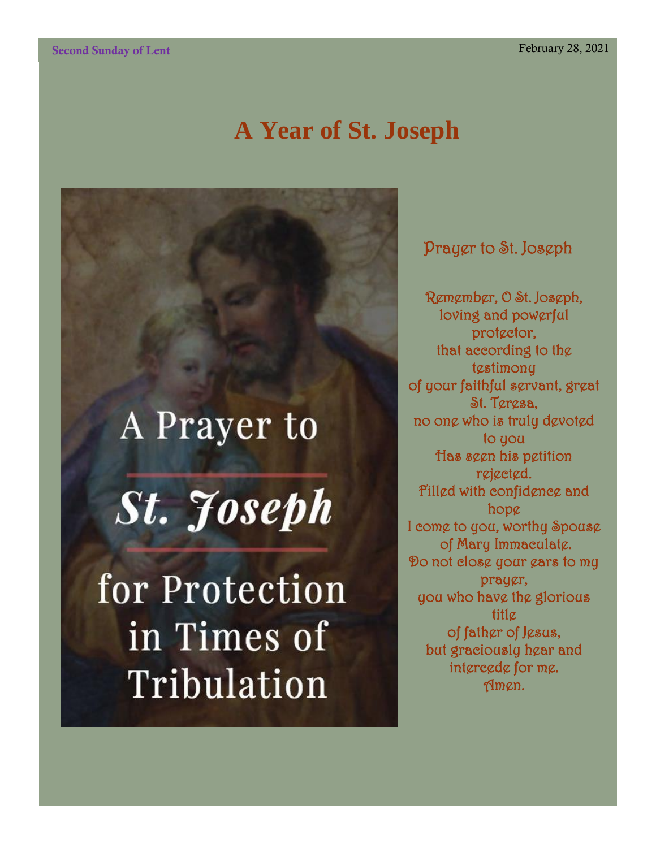## **A Year of St. Joseph**

# A Prayer to **St. Joseph** for Protection in Times of Tribulation

Prayer to St. Joseph

Remember, O St. Joseph, loving and powerful protector, that according to the tgstimony of your faithful servant, great St. Teresa, no one who is truly devoted to you Has seen his petition rejected. Filled with confidence and hope I come to you, worthy Spouse of Mary Immaculate. Do not close your ears to my prayer, you who have the glorious title of father of Jesus, but graciously hear and intercede for me. Amen.